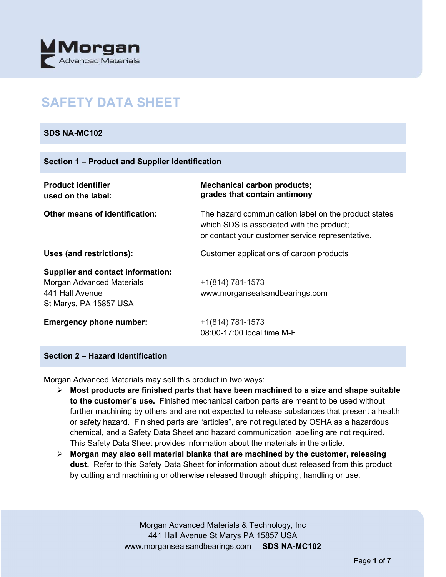

# **SAFETY DATA SHEET**

# **SDS NA-MC102**

| <b>Product identifier</b><br>used on the label:                                                                           | <b>Mechanical carbon products;</b><br>grades that contain antimony                                                                                    |
|---------------------------------------------------------------------------------------------------------------------------|-------------------------------------------------------------------------------------------------------------------------------------------------------|
| <b>Other means of identification:</b>                                                                                     | The hazard communication label on the product states<br>which SDS is associated with the product;<br>or contact your customer service representative. |
| Uses (and restrictions):                                                                                                  | Customer applications of carbon products                                                                                                              |
| <b>Supplier and contact information:</b><br><b>Morgan Advanced Materials</b><br>441 Hall Avenue<br>St Marys, PA 15857 USA | $+1(814) 781-1573$<br>www.morgansealsandbearings.com                                                                                                  |
| <b>Emergency phone number:</b>                                                                                            | $+1(814) 781-1573$<br>08:00-17:00 local time M-F                                                                                                      |

# **Section 2 – Hazard Identification**

Morgan Advanced Materials may sell this product in two ways:

- **Most products are finished parts that have been machined to a size and shape suitable to the customer's use.** Finished mechanical carbon parts are meant to be used without further machining by others and are not expected to release substances that present a health or safety hazard. Finished parts are "articles", are not regulated by OSHA as a hazardous chemical, and a Safety Data Sheet and hazard communication labelling are not required. This Safety Data Sheet provides information about the materials in the article.
- **Morgan may also sell material blanks that are machined by the customer, releasing dust.** Refer to this Safety Data Sheet for information about dust released from this product by cutting and machining or otherwise released through shipping, handling or use.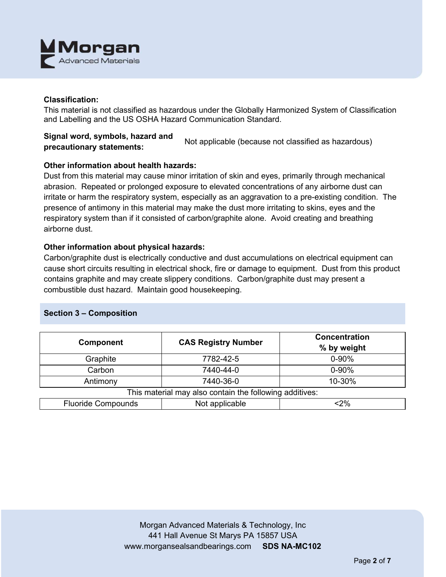

# **Classification:**

This material is not classified as hazardous under the Globally Harmonized System of Classification and Labelling and the US OSHA Hazard Communication Standard.

# **Signal word, symbols, hazard and precautionary statements:** Not applicable (because not classified as hazardous)

# **Other information about health hazards:**

Dust from this material may cause minor irritation of skin and eyes, primarily through mechanical abrasion. Repeated or prolonged exposure to elevated concentrations of any airborne dust can irritate or harm the respiratory system, especially as an aggravation to a pre-existing condition. The presence of antimony in this material may make the dust more irritating to skins, eyes and the respiratory system than if it consisted of carbon/graphite alone. Avoid creating and breathing airborne dust.

## **Other information about physical hazards:**

Carbon/graphite dust is electrically conductive and dust accumulations on electrical equipment can cause short circuits resulting in electrical shock, fire or damage to equipment. Dust from this product contains graphite and may create slippery conditions. Carbon/graphite dust may present a combustible dust hazard. Maintain good housekeeping.

# **Section 3 – Composition**

| <b>Component</b>                                        | <b>CAS Registry Number</b> | <b>Concentration</b><br>% by weight |  |  |
|---------------------------------------------------------|----------------------------|-------------------------------------|--|--|
| Graphite                                                | 7782-42-5                  | $0 - 90%$                           |  |  |
| Carbon                                                  | 7440-44-0                  | $0 - 90%$                           |  |  |
| Antimony                                                | 7440-36-0                  | 10-30%                              |  |  |
| This material may also contain the following additives: |                            |                                     |  |  |
| <b>Fluoride Compounds</b>                               | Not applicable             | $<$ 2%                              |  |  |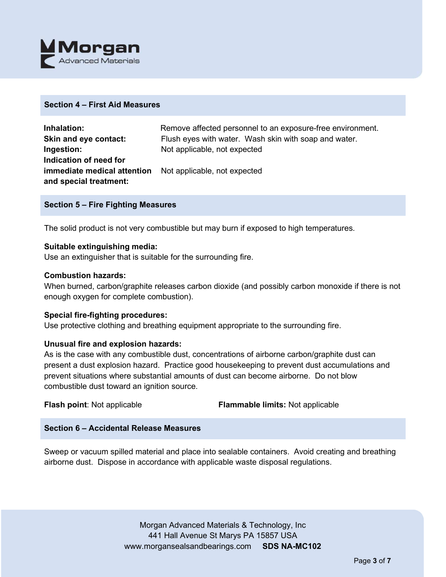

## **Section 4 – First Aid Measures**

| Inhalation:                                                     | Remove affected personnel to an exposure-free environment. |
|-----------------------------------------------------------------|------------------------------------------------------------|
| Skin and eye contact:                                           | Flush eyes with water. Wash skin with soap and water.      |
| Ingestion:                                                      | Not applicable, not expected                               |
| Indication of need for                                          |                                                            |
| <b>immediate medical attention</b> Not applicable, not expected |                                                            |
| and special treatment:                                          |                                                            |

## **Section 5 – Fire Fighting Measures**

The solid product is not very combustible but may burn if exposed to high temperatures.

## **Suitable extinguishing media:**

Use an extinguisher that is suitable for the surrounding fire.

## **Combustion hazards:**

When burned, carbon/graphite releases carbon dioxide (and possibly carbon monoxide if there is not enough oxygen for complete combustion).

## **Special fire-fighting procedures:**

Use protective clothing and breathing equipment appropriate to the surrounding fire.

# **Unusual fire and explosion hazards:**

As is the case with any combustible dust, concentrations of airborne carbon/graphite dust can present a dust explosion hazard. Practice good housekeeping to prevent dust accumulations and prevent situations where substantial amounts of dust can become airborne. Do not blow combustible dust toward an ignition source.

**Flash point**: Not applicable **Flammable limits:** Not applicable

# **Section 6 – Accidental Release Measures**

Sweep or vacuum spilled material and place into sealable containers. Avoid creating and breathing airborne dust. Dispose in accordance with applicable waste disposal regulations.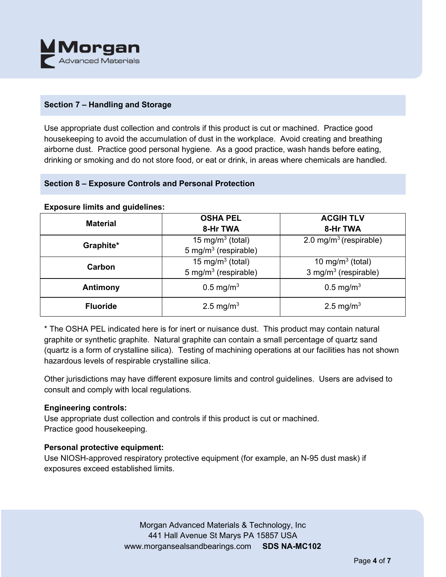

# **Section 7 – Handling and Storage**

Use appropriate dust collection and controls if this product is cut or machined. Practice good housekeeping to avoid the accumulation of dust in the workplace. Avoid creating and breathing airborne dust. Practice good personal hygiene. As a good practice, wash hands before eating, drinking or smoking and do not store food, or eat or drink, in areas where chemicals are handled.

# **Section 8 – Exposure Controls and Personal Protection**

## **Exposure limits and guidelines:**

| <b>Material</b> | <b>OSHA PEL</b>                  | <b>ACGIH TLV</b>                   |
|-----------------|----------------------------------|------------------------------------|
|                 | 8-Hr TWA                         | 8-Hr TWA                           |
| Graphite*       | 15 mg/m <sup>3</sup> (total)     | 2.0 mg/m <sup>3</sup> (respirable) |
|                 | 5 mg/m <sup>3</sup> (respirable) |                                    |
| Carbon          | 15 mg/m <sup>3</sup> (total)     | 10 mg/m $3$ (total)                |
|                 | 5 mg/m <sup>3</sup> (respirable) | 3 mg/m <sup>3</sup> (respirable)   |
| Antimony        | $0.5 \,\mathrm{mg/m^3}$          | $0.5 \,\mathrm{mg/m^3}$            |
|                 |                                  |                                    |
| <b>Fluoride</b> | 2.5 mg/m <sup>3</sup>            | 2.5 mg/m <sup>3</sup>              |
|                 |                                  |                                    |

\* The OSHA PEL indicated here is for inert or nuisance dust. This product may contain natural graphite or synthetic graphite. Natural graphite can contain a small percentage of quartz sand (quartz is a form of crystalline silica). Testing of machining operations at our facilities has not shown hazardous levels of respirable crystalline silica.

Other jurisdictions may have different exposure limits and control guidelines. Users are advised to consult and comply with local regulations.

# **Engineering controls:**

Use appropriate dust collection and controls if this product is cut or machined. Practice good housekeeping.

# **Personal protective equipment:**

Use NIOSH-approved respiratory protective equipment (for example, an N-95 dust mask) if exposures exceed established limits.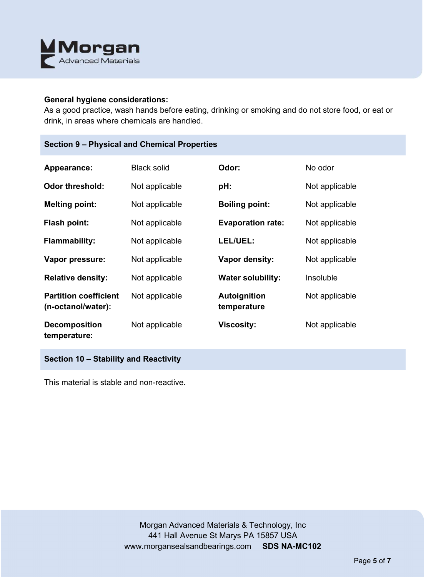

## **General hygiene considerations:**

As a good practice, wash hands before eating, drinking or smoking and do not store food, or eat or drink, in areas where chemicals are handled.

| Appearance:                                        | <b>Black solid</b> | Odor:                              | No odor        |
|----------------------------------------------------|--------------------|------------------------------------|----------------|
| Odor threshold:                                    | Not applicable     | pH:                                | Not applicable |
| <b>Melting point:</b>                              | Not applicable     | <b>Boiling point:</b>              | Not applicable |
| Flash point:                                       | Not applicable     | <b>Evaporation rate:</b>           | Not applicable |
| <b>Flammability:</b>                               | Not applicable     | LEL/UEL:                           | Not applicable |
| Vapor pressure:                                    | Not applicable     | <b>Vapor density:</b>              | Not applicable |
| <b>Relative density:</b>                           | Not applicable     | <b>Water solubility:</b>           | Insoluble      |
| <b>Partition coefficient</b><br>(n-octanol/water): | Not applicable     | <b>Autoignition</b><br>temperature | Not applicable |
| <b>Decomposition</b><br>temperature:               | Not applicable     | <b>Viscosity:</b>                  | Not applicable |

**Section 10 – Stability and Reactivity** 

This material is stable and non-reactive.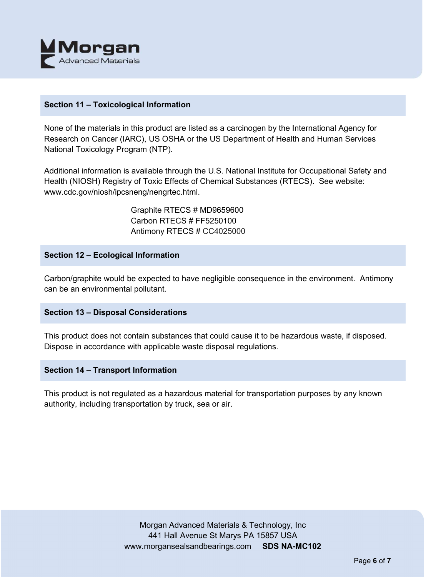

# **Section 11 – Toxicological Information**

None of the materials in this product are listed as a carcinogen by the International Agency for Research on Cancer (IARC), US OSHA or the US Department of Health and Human Services National Toxicology Program (NTP).

Additional information is available through the U.S. National Institute for Occupational Safety and Health (NIOSH) Registry of Toxic Effects of Chemical Substances (RTECS). See website: www.cdc.gov/niosh/ipcsneng/nengrtec.html.

> Graphite RTECS # MD9659600 Carbon RTECS # FF5250100 Antimony RTECS # CC4025000

# **Section 12 – Ecological Information**

Carbon/graphite would be expected to have negligible consequence in the environment. Antimony can be an environmental pollutant.

# **Section 13 – Disposal Considerations**

This product does not contain substances that could cause it to be hazardous waste, if disposed. Dispose in accordance with applicable waste disposal regulations.

## **Section 14 – Transport Information**

This product is not regulated as a hazardous material for transportation purposes by any known authority, including transportation by truck, sea or air.